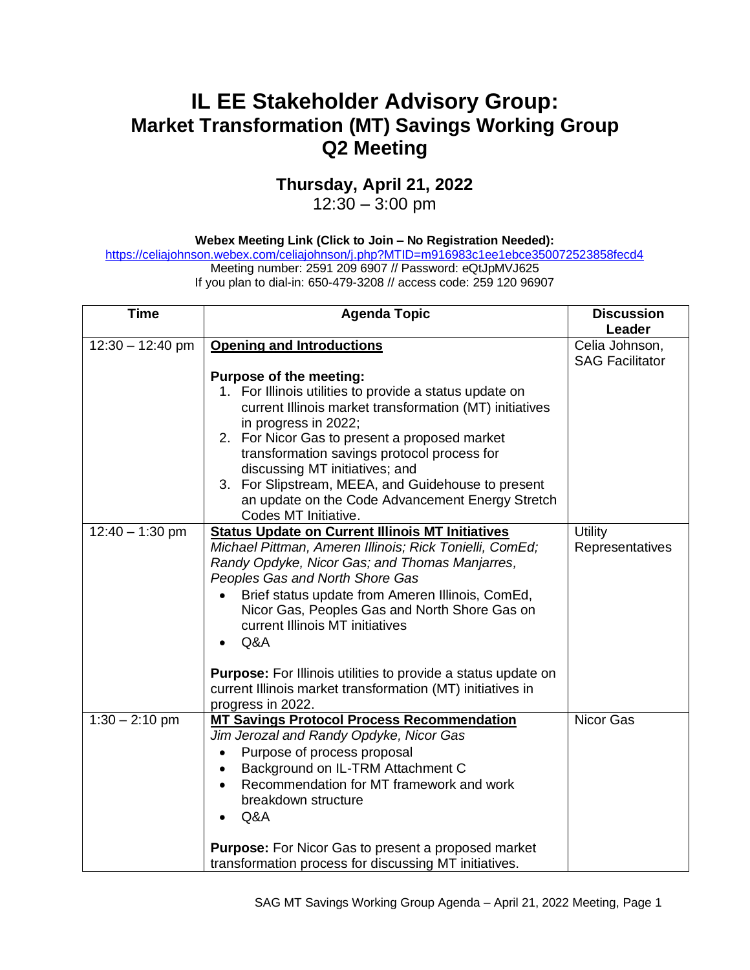## **IL EE Stakeholder Advisory Group: Market Transformation (MT) Savings Working Group Q2 Meeting**

## **Thursday, April 21, 2022**

12:30 – 3:00 pm

**Webex Meeting Link (Click to Join – No Registration Needed):** 

<https://celiajohnson.webex.com/celiajohnson/j.php?MTID=m916983c1ee1ebce350072523858fecd4> Meeting number: 2591 209 6907 // Password: eQtJpMVJ625

If you plan to dial-in: 650-479-3208 // access code: 259 120 96907

| <b>Time</b>        | <b>Agenda Topic</b>                                                                                                                                                                                                                                                                                                                                                                                                                                                                                                            | <b>Discussion</b>                        |
|--------------------|--------------------------------------------------------------------------------------------------------------------------------------------------------------------------------------------------------------------------------------------------------------------------------------------------------------------------------------------------------------------------------------------------------------------------------------------------------------------------------------------------------------------------------|------------------------------------------|
|                    |                                                                                                                                                                                                                                                                                                                                                                                                                                                                                                                                | Leader                                   |
| $12:30 - 12:40$ pm | <b>Opening and Introductions</b>                                                                                                                                                                                                                                                                                                                                                                                                                                                                                               | Celia Johnson,<br><b>SAG Facilitator</b> |
|                    | Purpose of the meeting:<br>1. For Illinois utilities to provide a status update on<br>current Illinois market transformation (MT) initiatives<br>in progress in 2022;<br>2. For Nicor Gas to present a proposed market<br>transformation savings protocol process for<br>discussing MT initiatives; and<br>3. For Slipstream, MEEA, and Guidehouse to present<br>an update on the Code Advancement Energy Stretch<br>Codes MT Initiative.                                                                                      |                                          |
| $12:40 - 1:30$ pm  | <b>Status Update on Current Illinois MT Initiatives</b><br>Michael Pittman, Ameren Illinois; Rick Tonielli, ComEd;<br>Randy Opdyke, Nicor Gas; and Thomas Manjarres,<br>Peoples Gas and North Shore Gas<br>Brief status update from Ameren Illinois, ComEd,<br>$\bullet$<br>Nicor Gas, Peoples Gas and North Shore Gas on<br>current Illinois MT initiatives<br>Q&A<br><b>Purpose:</b> For Illinois utilities to provide a status update on<br>current Illinois market transformation (MT) initiatives in<br>progress in 2022. | <b>Utility</b><br>Representatives        |
| $1:30 - 2:10$ pm   | <b>MT Savings Protocol Process Recommendation</b><br>Jim Jerozal and Randy Opdyke, Nicor Gas<br>Purpose of process proposal<br>Background on IL-TRM Attachment C<br>Recommendation for MT framework and work<br>$\bullet$<br>breakdown structure<br>Q&A<br>Purpose: For Nicor Gas to present a proposed market<br>transformation process for discussing MT initiatives.                                                                                                                                                        | Nicor Gas                                |